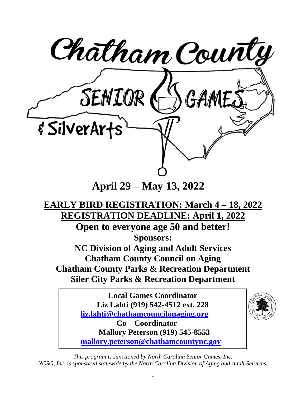

**April 29 – May 13, 2022**

### **EARLY BIRD REGISTRATION: March 4 – 18, 2022 REGISTRATION DEADLINE: April 1, 2022**

**Open to everyone age 50 and better! Sponsors:**

**NC Division of Aging and Adult Services Chatham County Council on Aging Chatham County Parks & Recreation Department Siler City Parks & Recreation Department**

> **Local Games Coordinator Liz Lahti (919) 542-4512 ext. 228 [liz.lahti@chathamcouncilonaging.org](mailto:liz.lahti@chathamcouncilonaging.org) Co – Coordinator Mallory Peterson (919) 545-8553 [mallory.peterson@chathamcountync.gov](mailto:mallory.peterson@chathamcountync.gov)**



*This program is sanctioned by North Carolina Senior Games, Inc. NCSG, Inc. is sponsored statewide by the North Carolina Division of Aging and Adult Services.*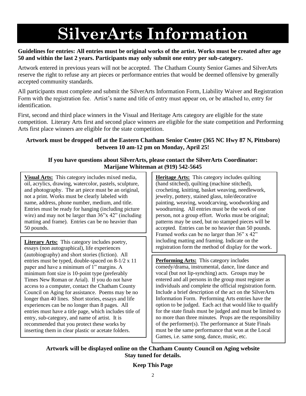## **SilverArts Information**

#### **Guidelines for entries: All entries must be original works of the artist. Works must be created after age 50 and within the last 2 years. Participants may only submit one entry per sub-category.**

Artwork entered in previous years will not be accepted. The Chatham County Senior Games and SilverArts reserve the right to refuse any art pieces or performance entries that would be deemed offensive by generally accepted community standards.

All participants must complete and submit the SilverArts Information Form, Liability Waiver and Registration Form with the registration fee. Artist's name and title of entry must appear on, or be attached to, entry for identification.

First, second and third place winners in the Visual and Heritage Arts category are eligible for the state competition. Literary Arts first and second place winners are eligible for the state competition and Performing Arts first place winners are eligible for the state competition.

#### **Artwork must be dropped off at the Eastern Chatham Senior Center (365 NC Hwy 87 N, Pittsboro) between 10 am-12 pm on Monday, April 25!**

#### **If you have questions about SilverArts, please contact the SilverArts Coordinator: Marijane Whiteman at (919) 542-5645**

**Visual Arts:** This category includes mixed media, oil, acrylics, drawing, watercolor, pastels, sculpture, and photography. The art piece must be an original, not a print. Works must be clearly labeled with name, address, phone number, medium, and title. Entries must be ready for hanging (including picture wire) and may not be larger than 36"x 42" (including matting and frame). Entries can be no heavier than 50 pounds.

**Literary Arts:** This category includes poetry, essays (non autographical), life experiences (autobiography) and short stories (fiction). All entries must be typed, double-spaced on 8-1/2 x 11 paper and have a minimum of 1" margins. A minimum font size is 10-point type (preferably Times New Roman or Arial). If you do not have access to a computer, contact the Chatham County Council on Aging for assistance. Poems may be no longer than 40 lines. Short stories, essays and life experiences can be no longer than 8 pages. All entries must have a title page, which includes title of entry, sub-category, and name of artist. It is recommended that you protect these works by inserting them in clear plastic or acetate folders.

**Heritage Arts:** This category includes quilting (hand stitched), quilting (machine stitched), crocheting, knitting, basket weaving, needlework, jewelry, pottery, stained glass, tole/decorative painting, weaving, woodcarving, woodworking and woodturning. All entries must be the work of one person, not a group effort. Works must be original; patterns may be used, but no stamped pieces will be accepted. Entries can be no heavier than 50 pounds. Framed works can be no larger than 36" x 42" including matting and framing. Indicate on the registration form the method of display for the work.

**Performing Arts:** This category includes comedy/drama, instrumental, dance, line dance and vocal (but not lip-synching) acts. Groups may be entered and all persons in the group must register as individuals and complete the official registration form. Include a brief description of the act on the SilverArts Information Form. Performing Arts entries have the option to be judged. Each act that would like to qualify for the state finals must be judged and must be limited to no more than three minutes. Props are the responsibility of the performer(s). The performance at State Finals must be the same performance that won at the Local Games, i.e. same song, dance, music, etc.

**Artwork will be displayed online on the Chatham County Council on Aging website Stay tuned for details.**

**Keep This Page**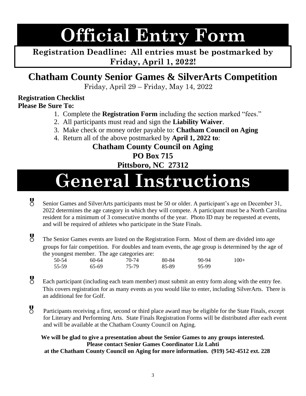# **Official Entry Form**

**Registration Deadline: All entries must be postmarked by Friday, April 1, 2022!**

### **Chatham County Senior Games & SilverArts Competition**

Friday, April 29 – Friday, May 14, 2022

#### **Registration Checklist**

**Please Be Sure To:**

- 1. Complete the **Registration Form** including the section marked "fees."
- 2. All participants must read and sign the **Liability Waiver**.
- 3. Make check or money order payable to: **Chatham Council on Aging**
- 4. Return all of the above postmarked by **April 1, 2022 to**:

### **Chatham County Council on Aging PO Box 715 Pittsboro, NC 27312**

## **General Instructions**

- Senior Games and SilverArts participants must be 50 or older. A participant's age on December 31, 2022 determines the age category in which they will compete. A participant must be a North Carolina resident for a minimum of 3 consecutive months of the year. Photo ID may be requested at events, and will be required of athletes who participate in the State Finals.
- The Senior Games events are listed on the Registration Form. Most of them are divided into age groups for fair competition. For doubles and team events, the age group is determined by the age of the youngest member. The age categories are:

| 50-54 | 60-64 | 70-74 | 80-84 | 90-94 | $100+$ |
|-------|-------|-------|-------|-------|--------|
| 55-59 | 65-69 | 75-79 | 85-89 | 95-99 |        |

- Each participant (including each team member) must submit an entry form along with the entry fee. This covers registration for as many events as you would like to enter, including SilverArts. There is an additional fee for Golf.
- Participants receiving a first, second or third place award may be eligible for the State Finals, except for Literary and Performing Arts. State Finals Registration Forms will be distributed after each event and will be available at the Chatham County Council on Aging.

**We will be glad to give a presentation about the Senior Games to any groups interested. Please contact Senior Games Coordinator Liz Lahti at the Chatham County Council on Aging for more information. (919) 542-4512 ext. 228**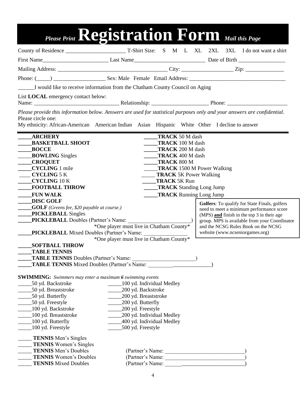|                                                                                                                     |                                          |                                        | Please Print Registration Form Mail this Page                                                                            |
|---------------------------------------------------------------------------------------------------------------------|------------------------------------------|----------------------------------------|--------------------------------------------------------------------------------------------------------------------------|
|                                                                                                                     |                                          |                                        |                                                                                                                          |
|                                                                                                                     |                                          |                                        |                                                                                                                          |
|                                                                                                                     |                                          |                                        |                                                                                                                          |
|                                                                                                                     |                                          |                                        |                                                                                                                          |
|                                                                                                                     |                                          |                                        |                                                                                                                          |
| I would like to receive information from the Chatham County Council on Aging                                        |                                          |                                        |                                                                                                                          |
| List <b>LOCAL</b> emergency contact below:                                                                          |                                          |                                        |                                                                                                                          |
| Please circle one:<br>My ethnicity: African-American American Indian Asian Hispanic White Other I decline to answer |                                          |                                        | Please provide this information below. Answers are used for statistical purposes only and your answers are confidential. |
| <b>ARCHERY</b>                                                                                                      |                                          | <b>TRACK 50 M dash</b>                 |                                                                                                                          |
| <b>BASKETBALL SHOOT</b>                                                                                             |                                          | <b>TRACK</b> 100 M dash                |                                                                                                                          |
| <b>BOCCE</b>                                                                                                        |                                          | <b>TRACK</b> 200 M dash                |                                                                                                                          |
| <b>BOWLING Singles</b><br><b>CROQUET</b>                                                                            |                                          | <b>TRACK 400 M dash</b><br>TRACK 800 M |                                                                                                                          |
| <b>CYCLING</b> 1 mile                                                                                               |                                          | <b>TRACK</b> 1500 M Power Walking      |                                                                                                                          |
| <b>CYCLING 5 K</b>                                                                                                  |                                          | <b>TRACK 5K Power Walking</b>          |                                                                                                                          |
| <b>CYCLING 10 K</b>                                                                                                 |                                          | <b>TRACK 5K Run</b>                    |                                                                                                                          |
| <b>FOOTBALL THROW</b>                                                                                               |                                          | <b>TRACK</b> Standing Long Jump        |                                                                                                                          |
| <b>FUN WALK</b>                                                                                                     |                                          | <b>TRACK</b> Running Long Jump         |                                                                                                                          |
| <b>DISC GOLF</b>                                                                                                    |                                          |                                        | <b>Golfers:</b> To qualify for State Finals, golfers                                                                     |
| <b>COLF</b> (Greens fee, \$20 payable at course.)                                                                   |                                          |                                        | need to meet a minimum performance score                                                                                 |
| <b>PICKLEBALL</b> Singles                                                                                           |                                          |                                        | (MPS) and finish in the top 3 in their age                                                                               |
| PICKLEBALL Doubles (Partner's Name:                                                                                 | *One player must live in Chatham County* |                                        | group. MPS is available from your Coordinator<br>and the NCSG Rules Book on the NCSG                                     |
| <b>PICKLEBALL</b> Mixed Doubles (Partner's Name:                                                                    |                                          |                                        | website (www.ncseniorgames.org)                                                                                          |
|                                                                                                                     | *One player must live in Chatham County* |                                        |                                                                                                                          |
| <b>SOFTBALL THROW</b>                                                                                               |                                          |                                        |                                                                                                                          |
| <b>TABLE TENNIS</b>                                                                                                 |                                          |                                        |                                                                                                                          |
|                                                                                                                     |                                          |                                        |                                                                                                                          |
| TABLE TENNIS Mixed Doubles (Partner's Name:                                                                         |                                          |                                        |                                                                                                                          |
| <b>SWIMMING:</b> Swimmers may enter a maximum 6 swimming events                                                     |                                          |                                        |                                                                                                                          |
| 50 yd. Backstroke                                                                                                   | _100 yd. Individual Medley               |                                        |                                                                                                                          |
| _50 yd. Breaststroke                                                                                                | 200 yd. Backstroke                       |                                        |                                                                                                                          |
| _50 yd. Butterfly                                                                                                   | 200 yd. Breaststroke                     |                                        |                                                                                                                          |
| _________50 yd. Freestyle                                                                                           | 200 yd. Butterfly                        |                                        |                                                                                                                          |
| _____100 yd. Backstroke                                                                                             | 200 yd. Freestyle                        |                                        |                                                                                                                          |
| 200 yd. Individual Medley<br>100 yd. Breaststroke<br>$\_100$ yd. Butterfly<br>_400 yd. Individual Medley            |                                          |                                        |                                                                                                                          |
| _100 yd. Freestyle                                                                                                  | 500 yd. Freestyle                        |                                        |                                                                                                                          |
| TENNIS Men's Singles<br>TENNIS Women's Singles                                                                      |                                          |                                        |                                                                                                                          |
| <b>TENNIS</b> Men's Doubles                                                                                         |                                          |                                        |                                                                                                                          |
| <b>TENNIS</b> Women's Doubles<br><b>TENNIS</b> Mixed Doubles                                                        |                                          | (Partner's Name:                       |                                                                                                                          |
|                                                                                                                     |                                          |                                        |                                                                                                                          |
|                                                                                                                     |                                          | 4                                      |                                                                                                                          |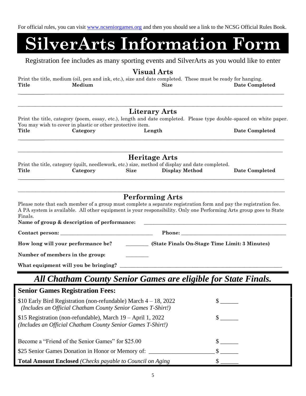For official rules, you can visit [www.ncseniorgames.org](http://www.ncseniorgames.org/) and then you should see a link to the NCSG Official Rules Book.

# **SilverArts Information Form**

Registration fee includes as many sporting events and SilverArts as you would like to enter

#### **Visual Arts**

Print the title, medium (oil, pen and ink, etc.), size and date completed. These must be ready for hanging. **Title Medium Size Date Completed \_\_\_\_\_\_\_\_\_\_\_\_\_\_\_\_\_\_\_\_\_\_\_\_\_\_\_\_\_\_\_\_\_\_\_\_\_\_\_\_\_\_\_\_\_\_\_\_\_\_\_\_\_\_\_\_\_\_\_\_\_\_\_\_\_\_\_\_\_\_\_\_\_\_\_\_\_\_\_\_\_\_\_\_\_\_\_\_\_\_\_\_\_\_\_\_\_\_\_\_\_\_\_\_\_**

|                                                   |                                                                                                                                    |             | <b>Literary Arts</b>   |                                                                                                                                                                                                                                        |  |  |
|---------------------------------------------------|------------------------------------------------------------------------------------------------------------------------------------|-------------|------------------------|----------------------------------------------------------------------------------------------------------------------------------------------------------------------------------------------------------------------------------------|--|--|
|                                                   | You may wish to cover in plastic or other protective item.                                                                         |             |                        | Print the title, category (poem, essay, etc.), length and date completed. Please type double-spaced on white paper.                                                                                                                    |  |  |
| Title                                             | Category                                                                                                                           |             | Length                 | Date Completed                                                                                                                                                                                                                         |  |  |
|                                                   |                                                                                                                                    |             |                        |                                                                                                                                                                                                                                        |  |  |
|                                                   |                                                                                                                                    |             | <b>Heritage Arts</b>   |                                                                                                                                                                                                                                        |  |  |
| Title                                             | Print the title, category (quilt, needlework, etc.) size, method of display and date completed.<br>Category                        | <b>Size</b> | <b>Display Method</b>  | Date Completed                                                                                                                                                                                                                         |  |  |
| Finals.                                           |                                                                                                                                    |             | <b>Performing Arts</b> | Please note that each member of a group must complete a separate registration form and pay the registration fee.<br>A PA system is available. All other equipment is your responsibility. Only one Performing Arts group goes to State |  |  |
|                                                   | Name of group & description of performance:                                                                                        |             |                        |                                                                                                                                                                                                                                        |  |  |
|                                                   |                                                                                                                                    |             | Phone:                 | <u> 2000 - Jan James James Jan James James James James James James James James James James James James James Jam</u>                                                                                                                   |  |  |
|                                                   | How long will your performance be?                                                                                                 |             |                        | (State Finals On-Stage Time Limit: 3 Minutes)                                                                                                                                                                                          |  |  |
|                                                   | Number of members in the group:                                                                                                    |             |                        |                                                                                                                                                                                                                                        |  |  |
|                                                   | What equipment will you be bringing?                                                                                               |             |                        |                                                                                                                                                                                                                                        |  |  |
|                                                   |                                                                                                                                    |             |                        | All Chatham County Senior Games are eligible for State Finals.                                                                                                                                                                         |  |  |
|                                                   | <b>Senior Games Registration Fees:</b>                                                                                             |             |                        |                                                                                                                                                                                                                                        |  |  |
|                                                   | \$10 Early Bird Registration (non-refundable) March $4 - 18$ , 2022<br>(Includes an Official Chatham County Senior Games T-Shirt!) |             |                        |                                                                                                                                                                                                                                        |  |  |
|                                                   | \$15 Registration (non-refundable), March 19 – April 1, 2022<br>(Includes an Official Chatham County Senior Games T-Shirt!)        |             |                        |                                                                                                                                                                                                                                        |  |  |
|                                                   | Become a "Friend of the Senior Games" for \$25.00                                                                                  |             |                        |                                                                                                                                                                                                                                        |  |  |
| \$25 Senior Games Donation in Honor or Memory of: |                                                                                                                                    |             |                        |                                                                                                                                                                                                                                        |  |  |
|                                                   | Total Amount Enclosed (Checks payable to Council on Aging                                                                          |             |                        |                                                                                                                                                                                                                                        |  |  |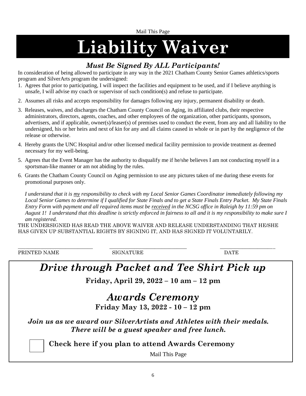Mail This Page

# **Liability Waiver**

### *Must Be Signed By ALL Participants!*

In consideration of being allowed to participate in any way in the 2021 Chatham County Senior Games athletics/sports program and SilverArts program the undersigned:

- 1. Agrees that prior to participating, I will inspect the facilities and equipment to be used, and if I believe anything is unsafe, I will advise my coach or supervisor of such condition(s) and refuse to participate.
- 2. Assumes all risks and accepts responsibility for damages following any injury, permanent disability or death.
- 3. Releases, waives, and discharges the Chatham County Council on Aging, its affiliated clubs, their respective administrators, directors, agents, coaches, and other employees of the organization, other participants, sponsors, advertisers, and if applicable, owner(s)/leaser(s) of premises used to conduct the event, from any and all liability to the undersigned, his or her heirs and next of kin for any and all claims caused in whole or in part by the negligence of the release or otherwise.
- 4. Hereby grants the UNC Hospital and/or other licensed medical facility permission to provide treatment as deemed necessary for my well-being.
- 5. Agrees that the Event Manager has the authority to disqualify me if he/she believes I am not conducting myself in a sportsman-like manner or am not abiding by the rules.
- 6. Grants the Chatham County Council on Aging permission to use any pictures taken of me during these events for promotional purposes only.

 *I understand that it is my responsibility to check with my Local Senior Games Coordinator immediately following my Local Senior Games to determine if I qualified for State Finals and to get a State Finals Entry Packet. My State Finals Entry Form with payment and all required items must be received in the NCSG office in Raleigh by 11:59 pm on August 1! I understand that this deadline is strictly enforced in fairness to all and it is my responsibility to make sure I am registered.*

THE UNDERSIGNED HAS READ THE ABOVE WAIVER AND RELEASE UNDERSTANDING THAT HE/SHE HAS GIVEN UP SUBSTANTIAL RIGHTS BY SIGNING IT, AND HAS SIGNED IT VOLUNTARILY.

PRINTED NAME SIGNATURE SIGNATURE DATE

\_\_\_\_\_\_\_\_\_\_\_\_\_\_\_\_\_\_\_\_\_\_\_\_\_\_\_\_\_\_ \_\_\_\_\_\_\_\_\_\_\_\_\_\_\_\_\_\_\_\_\_\_\_\_\_\_\_\_\_\_\_ \_\_\_\_\_\_\_\_\_\_\_\_\_\_\_\_\_\_\_\_\_\_

## *Drive through Packet and Tee Shirt Pick up*

**Friday, April 29, 2022 – 10 am – 12 pm**

### *Awards Ceremony* **Friday May 13, 2022 - 10 – 12 pm**

*Join us as we award our SilverArtists and Athletes with their medals. There will be a guest speaker and free lunch.*

**Check here if you plan to attend Awards Ceremony**

Mail This Page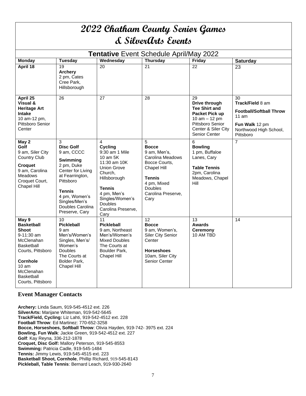| 2022 Chatham County Senior Games<br><b>&amp; SilverArts Events</b>                                                                                                                     |                                                                                                                                                                                                      |                                                                                                                                                                                                                |                                                                                                                                                                              |                                                                                                                                        |                                                                                                                      |
|----------------------------------------------------------------------------------------------------------------------------------------------------------------------------------------|------------------------------------------------------------------------------------------------------------------------------------------------------------------------------------------------------|----------------------------------------------------------------------------------------------------------------------------------------------------------------------------------------------------------------|------------------------------------------------------------------------------------------------------------------------------------------------------------------------------|----------------------------------------------------------------------------------------------------------------------------------------|----------------------------------------------------------------------------------------------------------------------|
|                                                                                                                                                                                        |                                                                                                                                                                                                      |                                                                                                                                                                                                                | Tentative Event Schedule April/May 2022                                                                                                                                      |                                                                                                                                        |                                                                                                                      |
| <b>Monday</b>                                                                                                                                                                          | <b>Tuesday</b>                                                                                                                                                                                       | Wednesday                                                                                                                                                                                                      | <b>Thursday</b>                                                                                                                                                              | Friday                                                                                                                                 | <b>Saturday</b>                                                                                                      |
| April 18                                                                                                                                                                               | 19<br><b>Archery</b><br>2 pm, Cates<br>Cree Park,<br>Hillsborough                                                                                                                                    | 20                                                                                                                                                                                                             | 21                                                                                                                                                                           | 22                                                                                                                                     | 23                                                                                                                   |
| April 25                                                                                                                                                                               | 26                                                                                                                                                                                                   | 27                                                                                                                                                                                                             | 28                                                                                                                                                                           | 29                                                                                                                                     | 30                                                                                                                   |
| Visual &<br><b>Heritage Art</b><br><b>Intake</b><br>10 am-12 pm,<br>Pittsboro Senior<br>Center                                                                                         |                                                                                                                                                                                                      |                                                                                                                                                                                                                |                                                                                                                                                                              | Drive through<br><b>Tee Shirt and</b><br>Packet Pick up<br>10 $am - 12 pm$<br>Pittsboro Senior<br>Center & Siler City<br>Senior Center | Track/Field 8 am<br><b>Football/Softball Throw</b><br>11 am<br>Fun Walk 12 pm<br>Northwood High School,<br>Pittsboro |
| May 2<br>Golf<br>9 am, Siler City<br><b>Country Club</b><br><b>Croquet</b><br>9 am, Carolina<br><b>Meadows</b><br>Croquet Court,<br><b>Chapel Hill</b>                                 | 3<br><b>Disc Golf</b><br>9 am, CCCC<br>Swimming<br>2 pm, Duke<br>Center for Living<br>at Fearrington,<br>Pittsboro<br>Tennis<br>4 pm, Women's<br>Singles/Men's<br>Doubles Carolina<br>Preserve, Cary | 4<br>Cycling<br>9:30 am 1 Mile<br>10 am 5K<br>11:30 am 10K<br><b>Union Grove</b><br>Church,<br>Hillsborough<br><b>Tennis</b><br>4 pm, Men's<br>Singles/Women's<br><b>Doubles</b><br>Carolina Preserve,<br>Cary | 5<br><b>Bocce</b><br>9 am, Men's,<br>Carolina Meadows<br>Bocce Courts,<br><b>Chapel Hill</b><br><b>Tennis</b><br>4 pm, Mixed<br><b>Doubles</b><br>Carolina Preserve,<br>Cary | 6<br><b>Bowling</b><br>1 pm, Buffaloe<br>Lanes, Cary<br><b>Table Tennis</b><br>2pm, Carolina<br>Meadows, Chapel<br>Hill                | 7                                                                                                                    |
| May 9<br><b>Basketball</b><br><b>Shoot</b><br>9-11:30 am<br>McClenahan<br>Basketball<br>Courts, Pittsboro<br><b>Cornhole</b><br>10 am<br>McClenahan<br>Basketball<br>Courts, Pittsboro | 10<br><b>Pickleball</b><br>9 am<br>Men's/Women's<br>Singles, Men's/<br>Women's<br><b>Doubles</b><br>The Courts at<br>Bolder Park,<br>Chapel Hill                                                     | 11<br><b>Pickleball</b><br>9 am, Northeast<br>Men's/Women's<br>Mixed Doubles<br>The Courts at<br>Boulder Park.<br><b>Chapel Hill</b>                                                                           | 12<br><b>Bocce</b><br>9 am, Women's,<br><b>Siler City Senior</b><br>Center<br><b>Horseshoes</b><br>10am, Siler City<br>Senior Center                                         | 13<br><b>Awards</b><br><b>Ceremony</b><br>10 AM TBD                                                                                    | 14                                                                                                                   |

#### **Event Manager Contacts**

**Archery:** Linda Saum, 919-545-4512 ext. 226 **SilverArts:** Marijane Whiteman, 919-542-5645 **Track/Field, Cycling:** Liz Lahti, 919-542-4512 ext. 228 **Football Throw**: Ed Martinez: 770-652-3258 **Bocce, Horseshoes, Softball Throw**: Olivia Hayden, 919-742- 3975 ext. 224 **Bowling, Fun Walk**: Jackie Green, 919-542-4512 ext. 227 **Golf**: Kay Reyna, 336-212-1878 **Croquet, Disc Golf:** Mallory Peterson, 919-545-8553 **Swimming:** Patricia Cadle, 919-545-1484 **Tennis:** Jimmy Lewis, 919-545-4515 ext. 223 **Basketball Shoot, Cornhole**, Phillip Richard, 919-545-8143 **Pickleball, Table Tennis**: Bernard Leach, 919-930-2640